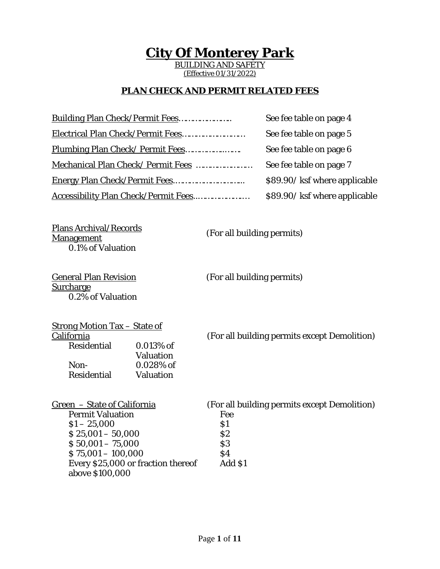# **City Of Monterey Park**

BUILDING AND SAFETY (Effective 01/31/2022)

#### **PLAN CHECK AND PERMIT RELATED FEES**

| See fee table on page 4       |
|-------------------------------|
| See fee table on page 5       |
| See fee table on page 6       |
| See fee table on page 7       |
| \$89.90/ ksf where applicable |
| \$89.90/ ksf where applicable |
|                               |

Plans Archival/Records 0.1% of Valuation

(For all building permits)

General Plan Revision <u>Surcharge</u> 0.2% of Valuation

(For all building permits)

| <u>Strong Motion Tax – State of</u> |                  |                                              |
|-------------------------------------|------------------|----------------------------------------------|
| California                          |                  | (For all building permits except Demolition) |
| Residential                         | $0.013\%$ of     |                                              |
|                                     | <b>Valuation</b> |                                              |
| Non-                                | $0.028\%$ of     |                                              |
| Residential                         | Valuation        |                                              |

| Green – State of California        | (For all building permits except Demolition) |
|------------------------------------|----------------------------------------------|
| <b>Permit Valuation</b>            | Fee                                          |
| $$1 - 25,000$                      | \$1                                          |
| $$25,001 - 50,000$                 | \$2                                          |
| $$50,001 - 75,000$                 | $\boldsymbol{S3}$                            |
| $$75,001 - 100,000$                | \$4                                          |
| Every \$25,000 or fraction thereof | Add \$1                                      |
| above \$100,000                    |                                              |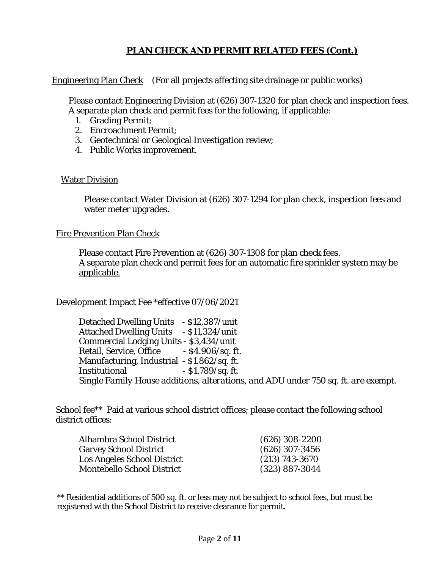## **PLAN CHECK AND PERMIT RELATED FEES (Cont.)**

Engineering Plan Check (For all projects affecting site drainage or public works)

Please contact Engineering Division at (626) 307-1320 for plan check and inspection fees. A separate plan check and permit fees for the following, if applicable:

- 1. Grading Permit;
- 2. Encroachment Permit;
- 3. Geotechnical or Geological Investigation review;
- 4. Public Works improvement.

#### Water Division

Please contact Water Division at (626) 307-1294 for plan check, inspection fees and water meter upgrades.

#### Fire Prevention Plan Check

Please contact Fire Prevention at (626) 307-1308 for plan check fees. A separate plan check and permit fees for an automatic fire sprinkler system may be applicable.

#### Development Impact Fee \*effective 07/06/2021

Detached Dwelling Units - \$12,387/unit Attached Dwelling Units - \$11,324/unit Commercial Lodging Units - \$3,434/unit Retail, Service, Office - \$4.906/sq. ft. Manufacturing, Industrial - \$1.862/sq. ft. Institutional - \$1.789/sq. ft. *Single Family House additions, alterations, and ADU under 750 sq. ft. are exempt.*

School fee<sup>\*\*</sup> Paid at various school district offices; please contact the following school district offices:

| Alhambra School District          | $(626)$ 308-2200   |
|-----------------------------------|--------------------|
| <b>Garvey School District</b>     | $(626)$ 307-3456   |
| Los Angeles School District       | $(213) 743 - 3670$ |
| <b>Montebello School District</b> | $(323) 887 - 3044$ |

\*\* Residential additions of 500 sq. ft. or less may not be subject to school fees, but must be registered with the School District to receive clearance for permit.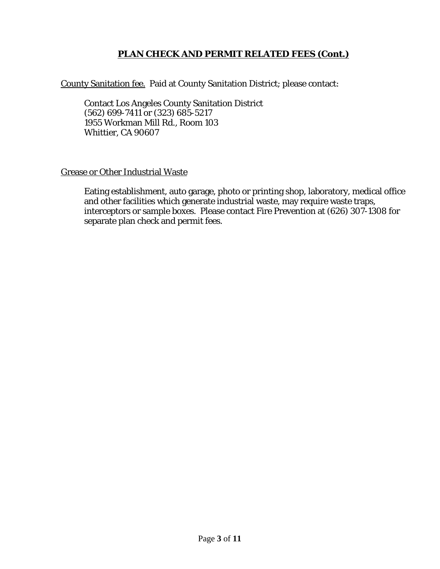#### **PLAN CHECK AND PERMIT RELATED FEES (Cont.)**

County Sanitation fee. Paid at County Sanitation District; please contact:

Contact Los Angeles County Sanitation District (562) 699-7411 or (323) 685-5217 1955 Workman Mill Rd., Room 103 Whittier, CA 90607

#### Grease or Other Industrial Waste

Eating establishment, auto garage, photo or printing shop, laboratory, medical office and other facilities which generate industrial waste, may require waste traps, interceptors or sample boxes. Please contact Fire Prevention at (626) 307-1308 for separate plan check and permit fees.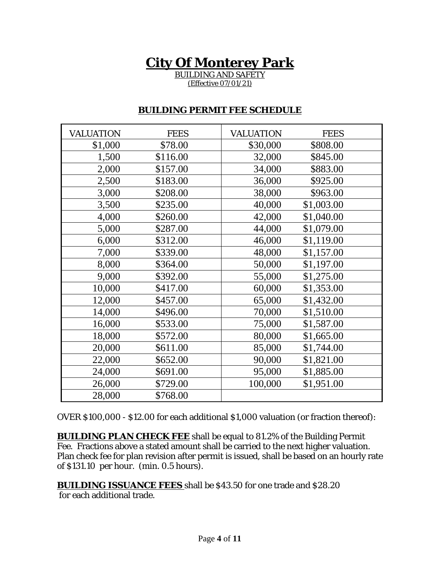# **City Of Monterey Park**

BUILDING AND SAFETY (Effective 07/01/21)

#### **BUILDING PERMIT FEE SCHEDULE**

| <b>VALUATION</b> | <b>FEES</b> | <b>VALUATION</b> | <b>FEES</b> |
|------------------|-------------|------------------|-------------|
| \$1,000          | \$78.00     | \$30,000         | \$808.00    |
| 1,500            | \$116.00    | 32,000           | \$845.00    |
| 2,000            | \$157.00    | 34,000           | \$883.00    |
| 2,500            | \$183.00    | 36,000           | \$925.00    |
| 3,000            | \$208.00    | 38,000           | \$963.00    |
| 3,500            | \$235.00    | 40,000           | \$1,003.00  |
| 4,000            | \$260.00    | 42,000           | \$1,040.00  |
| 5,000            | \$287.00    | 44,000           | \$1,079.00  |
| 6,000            | \$312.00    | 46,000           | \$1,119.00  |
| 7,000            | \$339.00    | 48,000           | \$1,157.00  |
| 8,000            | \$364.00    | 50,000           | \$1,197.00  |
| 9,000            | \$392.00    | 55,000           | \$1,275.00  |
| 10,000           | \$417.00    | 60,000           | \$1,353.00  |
| 12,000           | \$457.00    | 65,000           | \$1,432.00  |
| 14,000           | \$496.00    | 70,000           | \$1,510.00  |
| 16,000           | \$533.00    | 75,000           | \$1,587.00  |
| 18,000           | \$572.00    | 80,000           | \$1,665.00  |
| 20,000           | \$611.00    | 85,000           | \$1,744.00  |
| 22,000           | \$652.00    | 90,000           | \$1,821.00  |
| 24,000           | \$691.00    | 95,000           | \$1,885.00  |
| 26,000           | \$729.00    | 100,000          | \$1,951.00  |
| 28,000           | \$768.00    |                  |             |

OVER \$100,000 - \$12.00 for each additional \$1,000 valuation (or fraction thereof):

**BUILDING PLAN CHECK FEE** shall be equal to 81.2% of the Building Permit Fee. Fractions above a stated amount shall be carried to the next higher valuation. Plan check fee for plan revision after permit is issued, shall be based on an hourly rate of \$131.10 per hour. (min. 0.5 hours).

**BUILDING ISSUANCE FEES** shall be \$43.50 for one trade and \$28.20 for each additional trade.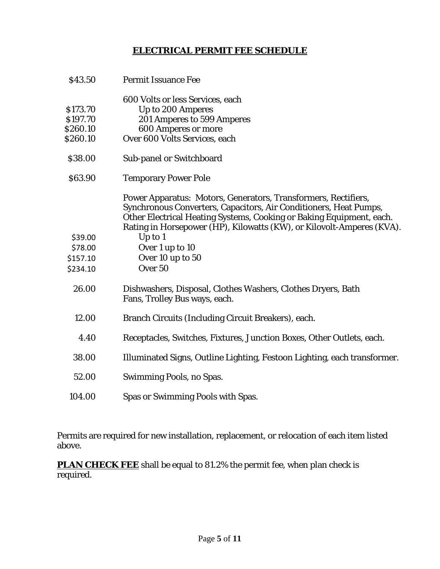#### **ELECTRICAL PERMIT FEE SCHEDULE**

| \$43.50  | <b>Permit Issuance Fee</b>                                                                                                                                                                                  |
|----------|-------------------------------------------------------------------------------------------------------------------------------------------------------------------------------------------------------------|
|          | 600 Volts or less Services, each                                                                                                                                                                            |
| \$173.70 | Up to 200 Amperes                                                                                                                                                                                           |
| \$197.70 | 201 Amperes to 599 Amperes                                                                                                                                                                                  |
| \$260.10 | <b>600 Amperes or more</b>                                                                                                                                                                                  |
| \$260.10 | Over 600 Volts Services, each                                                                                                                                                                               |
| \$38.00  | Sub-panel or Switchboard                                                                                                                                                                                    |
| \$63.90  | <b>Temporary Power Pole</b>                                                                                                                                                                                 |
|          | Power Apparatus: Motors, Generators, Transformers, Rectifiers,<br>Synchronous Converters, Capacitors, Air Conditioners, Heat Pumps,<br>Other Electrical Heating Systems, Cooking or Baking Equipment, each. |
|          | Rating in Horsepower (HP), Kilowatts (KW), or Kilovolt-Amperes (KVA).                                                                                                                                       |
| \$39.00  | Up to $1$                                                                                                                                                                                                   |
| \$78.00  | Over 1 up to 10                                                                                                                                                                                             |
| \$157.10 | Over 10 up to 50                                                                                                                                                                                            |
| \$234.10 | Over 50                                                                                                                                                                                                     |
| 26.00    | Dishwashers, Disposal, Clothes Washers, Clothes Dryers, Bath<br>Fans, Trolley Bus ways, each.                                                                                                               |
| 12.00    | Branch Circuits (Including Circuit Breakers), each.                                                                                                                                                         |
| 4.40     | Receptacles, Switches, Fixtures, Junction Boxes, Other Outlets, each.                                                                                                                                       |
| 38.00    | Illuminated Signs, Outline Lighting, Festoon Lighting, each transformer.                                                                                                                                    |
| 52.00    | Swimming Pools, no Spas.                                                                                                                                                                                    |
| 104.00   | Spas or Swimming Pools with Spas.                                                                                                                                                                           |

Permits are required for new installation, replacement, or relocation of each item listed above.

**PLAN CHECK FEE** shall be equal to 81.2% the permit fee, when plan check is required.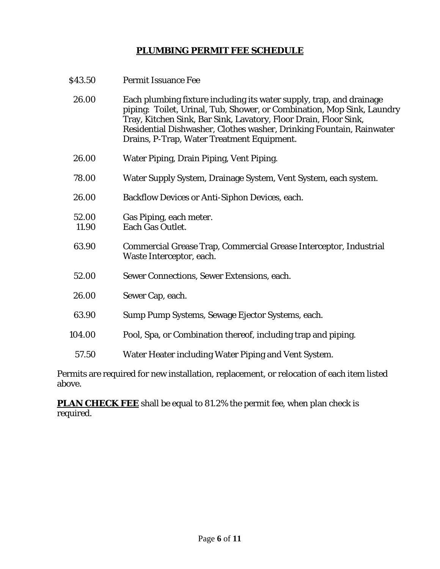## **PLUMBING PERMIT FEE SCHEDULE**

| \$43.50        | <b>Permit Issuance Fee</b>                                                                                                                                                                                                                                                                                                               |
|----------------|------------------------------------------------------------------------------------------------------------------------------------------------------------------------------------------------------------------------------------------------------------------------------------------------------------------------------------------|
| 26.00          | Each plumbing fixture including its water supply, trap, and drainage<br>piping: Toilet, Urinal, Tub, Shower, or Combination, Mop Sink, Laundry<br>Tray, Kitchen Sink, Bar Sink, Lavatory, Floor Drain, Floor Sink,<br>Residential Dishwasher, Clothes washer, Drinking Fountain, Rainwater<br>Drains, P-Trap, Water Treatment Equipment. |
| 26.00          | Water Piping, Drain Piping, Vent Piping.                                                                                                                                                                                                                                                                                                 |
| 78.00          | Water Supply System, Drainage System, Vent System, each system.                                                                                                                                                                                                                                                                          |
| 26.00          | Backflow Devices or Anti-Siphon Devices, each.                                                                                                                                                                                                                                                                                           |
| 52.00<br>11.90 | Gas Piping, each meter.<br>Each Gas Outlet.                                                                                                                                                                                                                                                                                              |
| 63.90          | Commercial Grease Trap, Commercial Grease Interceptor, Industrial<br>Waste Interceptor, each.                                                                                                                                                                                                                                            |
| 52.00          | Sewer Connections, Sewer Extensions, each.                                                                                                                                                                                                                                                                                               |
| 26.00          | Sewer Cap, each.                                                                                                                                                                                                                                                                                                                         |
| 63.90          | Sump Pump Systems, Sewage Ejector Systems, each.                                                                                                                                                                                                                                                                                         |
| 104.00         | Pool, Spa, or Combination thereof, including trap and piping.                                                                                                                                                                                                                                                                            |
| 57.50          | Water Heater including Water Piping and Vent System.                                                                                                                                                                                                                                                                                     |
|                |                                                                                                                                                                                                                                                                                                                                          |

Permits are required for new installation, replacement, or relocation of each item listed above.

**PLAN CHECK FEE** shall be equal to 81.2% the permit fee, when plan check is required.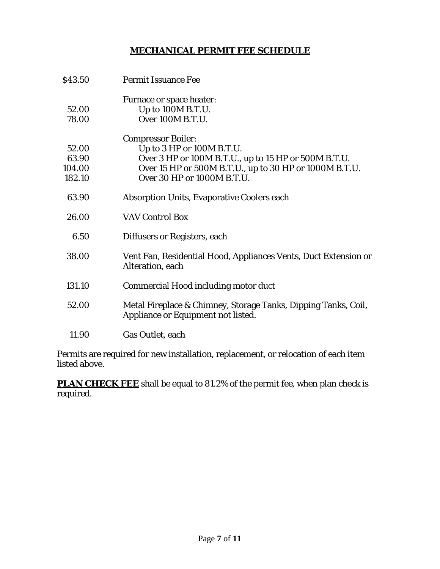#### **MECHANICAL PERMIT FEE SCHEDULE**

| \$43.50 | <b>Permit Issuance Fee</b>                                                                           |
|---------|------------------------------------------------------------------------------------------------------|
|         | Furnace or space heater:                                                                             |
| 52.00   | Up to 100M B.T.U.                                                                                    |
| 78.00   | Over 100M B.T.U.                                                                                     |
|         | <b>Compressor Boiler:</b>                                                                            |
| 52.00   | Up to 3 HP or 100M B.T.U.                                                                            |
| 63.90   | Over 3 HP or 100M B.T.U., up to 15 HP or 500M B.T.U.                                                 |
| 104.00  | Over 15 HP or 500M B.T.U., up to 30 HP or 1000M B.T.U.                                               |
| 182.10  | Over 30 HP or 1000M B.T.U.                                                                           |
| 63.90   | <b>Absorption Units, Evaporative Coolers each</b>                                                    |
| 26.00   | <b>VAV Control Box</b>                                                                               |
| 6.50    | Diffusers or Registers, each                                                                         |
| 38.00   | Vent Fan, Residential Hood, Appliances Vents, Duct Extension or<br>Alteration, each                  |
| 131.10  | Commercial Hood including motor duct                                                                 |
| 52.00   | Metal Fireplace & Chimney, Storage Tanks, Dipping Tanks, Coil,<br>Appliance or Equipment not listed. |
| 11.90   | Gas Outlet, each                                                                                     |

Permits are required for new installation, replacement, or relocation of each item listed above.

**PLAN CHECK FEE** shall be equal to 81.2% of the permit fee, when plan check is required.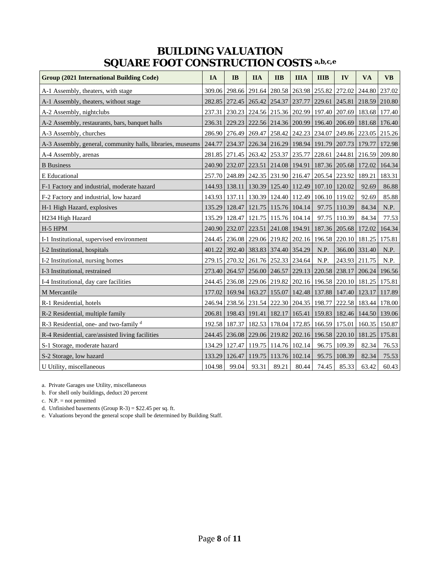## **BUILDING VALUATION SQUARE FOOT CONSTRUCTION COSTS a,b,c,e**

| <b>Group (2021 International Building Code)</b>            | IA     | IB                   | <b>IIA</b> | <b>IIB</b>                                                   | <b>IIIA</b> | <b>IIIB</b>   | IV           | <b>VA</b>                                                             | <b>VB</b> |
|------------------------------------------------------------|--------|----------------------|------------|--------------------------------------------------------------|-------------|---------------|--------------|-----------------------------------------------------------------------|-----------|
| A-1 Assembly, theaters, with stage                         |        |                      |            | 309.06 298.66 291.64 280.58                                  |             | 263.98 255.82 | 272.02       | 244.80                                                                | 237.02    |
| A-1 Assembly, theaters, without stage                      |        |                      |            | 282.85 272.45 265.42 254.37                                  | 237.77      |               |              | 229.61 245.81 218.59                                                  | 210.80    |
| A-2 Assembly, nightclubs                                   | 237.31 |                      |            |                                                              |             |               |              | 230.23 224.56 215.36 202.99 197.40 207.69 183.68 177.40               |           |
| A-2 Assembly, restaurants, bars, banquet halls             | 236.31 |                      |            |                                                              |             |               |              | 229.23   222.56   214.36   200.99   196.40   206.69   181.68          | 176.40    |
| A-3 Assembly, churches                                     |        |                      |            |                                                              |             |               |              | 286.90 276.49 269.47 258.42 242.23 234.07 249.86 223.05 215.26        |           |
| A-3 Assembly, general, community halls, libraries, museums | 244.77 |                      |            | 234.37   226.34   216.29   198.94   191.79   207.73   179.77 |             |               |              |                                                                       | 172.98    |
| A-4 Assembly, arenas                                       |        |                      |            |                                                              |             |               |              | 281.85 271.45 263.42 253.37 235.77 228.61 244.81 216.59 209.80        |           |
| <b>B</b> Business                                          |        |                      |            |                                                              |             |               |              | 240.90 232.07 223.51 214.08 194.91 187.36 205.68 172.02               | 164.34    |
| <b>E</b> Educational                                       |        |                      |            | 257.70   248.89   242.35   231.90   216.47   205.54   223.92 |             |               |              | 189.21                                                                | 183.31    |
| F-1 Factory and industrial, moderate hazard                |        |                      |            | 144.93 138.11 130.39 125.40 112.49 107.10 120.02             |             |               |              | 92.69                                                                 | 86.88     |
| F-2 Factory and industrial, low hazard                     |        |                      |            | 143.93 137.11 130.39 124.40 112.49 106.10 119.02             |             |               |              | 92.69                                                                 | 85.88     |
| H-1 High Hazard, explosives                                |        | 135.29 128.47        |            | 121.75 115.76 104.14                                         |             |               | 97.75 110.39 | 84.34                                                                 | N.P.      |
| H234 High Hazard                                           |        |                      |            | 135.29   128.47   121.75   115.76                            | 104.14      | 97.75         | 110.39       | 84.34                                                                 | 77.53     |
| H-5 HPM                                                    |        |                      |            | 240.90 232.07 223.51 241.08 194.91 187.36 205.68             |             |               |              | 172.02                                                                | 164.34    |
| I-1 Institutional, supervised environment                  |        |                      |            | 244.45 236.08 229.06 219.82 202.16 196.58 220.10 181.25      |             |               |              |                                                                       | 175.81    |
| I-2 Institutional, hospitals                               | 401.22 |                      |            | 392.40 383.83 374.40 354.29                                  |             | N.P.          |              | 366.00 331.40                                                         | N.P.      |
| I-2 Institutional, nursing homes                           |        |                      |            | 279.15 270.32 261.76 252.33 234.64                           |             | N.P.          |              | 243.93 211.75                                                         | N.P.      |
| I-3 Institutional, restrained                              |        |                      |            |                                                              |             |               |              | 273.40   264.57   256.00   246.57   229.13   220.58   238.17   206.24 | 196.56    |
| I-4 Institutional, day care facilities                     |        |                      |            | 244.45 236.08 229.06 219.82 202.16 196.58 220.10             |             |               |              | 181.25                                                                | 175.81    |
| M Mercantile                                               |        | 177.02 169.94 163.27 |            |                                                              |             |               |              | 155.07   142.48   137.88   147.40   123.17                            | 117.89    |
| R-1 Residential, hotels                                    |        |                      |            | 246.94   238.56   231.54   222.30   204.35   198.77          |             |               |              | 222.58 183.44 178.00                                                  |           |
| R-2 Residential, multiple family                           | 206.81 | 198.43               | 191.41     | 182.17                                                       | 165.41      |               |              | 159.83   182.46   144.50                                              | 139.06    |
| R-3 Residential, one- and two-family d                     |        |                      |            | 192.58   187.37   182.53   178.04                            |             | 172.85 166.59 | 175.01       | 160.35                                                                | 150.87    |
| R-4 Residential, care/assisted living facilities           |        |                      |            | 244.45   236.08   229.06   219.82                            |             |               |              | 202.16 196.58 220.10 181.25                                           | 175.81    |
| S-1 Storage, moderate hazard                               |        |                      |            | 134.29   127.47   119.75   114.76   102.14                   |             |               | 96.75 109.39 | 82.34                                                                 | 76.53     |
| S-2 Storage, low hazard                                    | 133.29 | 126.47               | 119.75     | 113.76                                                       | 102.14      | 95.75         | 108.39       | 82.34                                                                 | 75.53     |
| U Utility, miscellaneous                                   | 104.98 | 99.04                | 93.31      | 89.21                                                        | 80.44       | 74.45         | 85.33        | 63.42                                                                 | 60.43     |

a. Private Garages use Utility, miscellaneous

b. For shell only buildings, deduct 20 percent

c. N.P. = not permitted

d. Unfinished basements (Group R-3) = \$22.45 per sq. ft.

e. Valuations beyond the general scope shall be determined by Building Staff.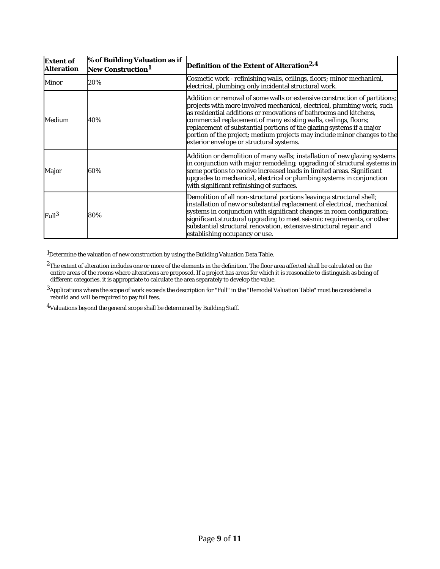| <b>Extent of</b><br><b>Alteration</b> | <b>% of Building Valuation as if</b><br>New Construction <sup>1</sup> | Definition of the Extent of Alteration <sup>2,4</sup>                                                                                                                                                                                                                                                                                                                                                                                                                                            |
|---------------------------------------|-----------------------------------------------------------------------|--------------------------------------------------------------------------------------------------------------------------------------------------------------------------------------------------------------------------------------------------------------------------------------------------------------------------------------------------------------------------------------------------------------------------------------------------------------------------------------------------|
| <b>Minor</b>                          | 20%                                                                   | Cosmetic work - refinishing walls, ceilings, floors; minor mechanical,<br>electrical, plumbing; only incidental structural work.                                                                                                                                                                                                                                                                                                                                                                 |
| Medium                                | 40%                                                                   | Addition or removal of some walls or extensive construction of partitions;<br>projects with more involved mechanical, electrical, plumbing work, such<br>as residential additions or renovations of bathrooms and kitchens,<br>commercial replacement of many existing walls, ceilings, floors;<br>replacement of substantial portions of the glazing systems if a major<br>portion of the project; medium projects may include minor changes to the<br>exterior envelope or structural systems. |
| Major                                 | 60%                                                                   | Addition or demolition of many walls; installation of new glazing systems<br>in conjunction with major remodeling; upgrading of structural systems in<br>some portions to receive increased loads in limited areas. Significant<br>upgrades to mechanical, electrical or plumbing systems in conjunction<br>with significant refinishing of surfaces.                                                                                                                                            |
| Full <sup>3</sup>                     | 80%                                                                   | Demolition of all non-structural portions leaving a structural shell;<br>installation of new or substantial replacement of electrical, mechanical<br>systems in conjunction with significant changes in room configuration;<br>significant structural upgrading to meet seismic requirements, or other<br>substantial structural renovation, extensive structural repair and<br>establishing occupancy or use.                                                                                   |

<sup>1</sup>Determine the valuation of new construction by using the Building Valuation Data Table.

 $^2$ The extent of alteration includes one or more of the elements in the definition. The floor area affected shall be calculated on the entire areas of the rooms where alterations are proposed. If a project has areas for which it is reasonable to distinguish as being of different categories, it is appropriate to calculate the area separately to develop the value.

3Applications where the scope of work exceeds the description for "Full" in the "Remodel Valuation Table" must be considered a rebuild and will be required to pay full fees.

4Valuations beyond the general scope shall be determined by Building Staff.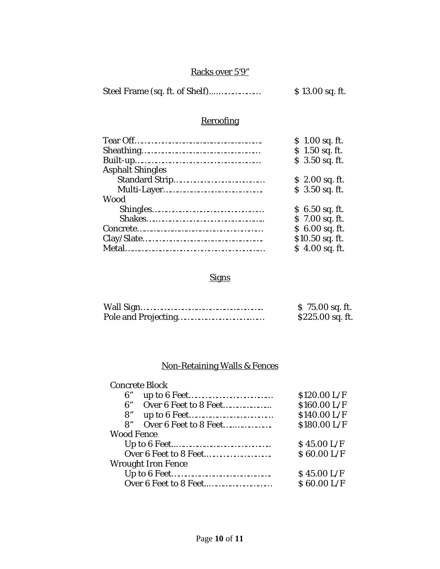## Racks over 5'9"

|  | \$ 13.00 sq. ft. |
|--|------------------|
|--|------------------|

# **Reroofing**

| \$1.00 sq. ft.  |
|-----------------|
| $$1.50$ sq. ft. |
| \$ 3.50 sq. ft. |
|                 |
| $$2.00$ sq. ft. |
| $$3.50$ sq. ft. |
|                 |
| $$6.50$ sq. ft. |
| \$7.00 sq. ft.  |
| $$6.00$ sq. ft. |
| \$10.50 sq. ft. |
| $$4.00$ sq. ft. |
|                 |

# Signs

| $$75.00$ sq. ft. |
|------------------|
| \$225.00 sq. ft. |

# Non-Retaining Walls & Fences

## Concrete Block

| 6"                |                           | \$120.00 L/F |
|-------------------|---------------------------|--------------|
| 6"                | Over 6 Feet to 8 Feet     | \$160.00 L/F |
| 8"                |                           | \$140.00 L/F |
| $\mathbf{R}^n$    | Over 6 Feet to 8 Feet     | \$180.00 L/F |
| <b>Wood Fence</b> |                           |              |
|                   |                           | \$45.00 L/F  |
|                   |                           | \$60.00 L/F  |
|                   | <b>Wrought Iron Fence</b> |              |
|                   |                           | \$45.00 L/F  |
|                   |                           | \$60.00 L/F  |
|                   |                           |              |